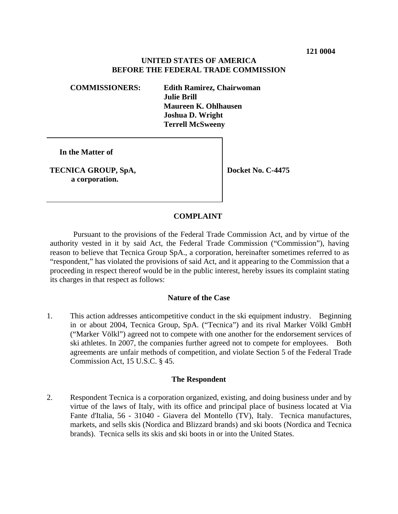# **UNITED STATES OF AMERICA BEFORE THE FEDERAL TRADE COMMISSION**

**COMMISSIONERS: Edith Ramirez, Chairwoman Julie Brill Maureen K. Ohlhausen Joshua D. Wright Terrell McSweeny**

 **In the Matter of**

**TECNICA GROUP, SpA, a corporation.**

**Docket No. C-4475**

# **COMPLAINT**

Pursuant to the provisions of the Federal Trade Commission Act, and by virtue of the authority vested in it by said Act, the Federal Trade Commission ("Commission"), having reason to believe that Tecnica Group SpA., a corporation, hereinafter sometimes referred to as "respondent," has violated the provisions of said Act, and it appearing to the Commission that a proceeding in respect thereof would be in the public interest, hereby issues its complaint stating its charges in that respect as follows:

# **Nature of the Case**

1. This action addresses anticompetitive conduct in the ski equipment industry. Beginning in or about 2004, Tecnica Group, SpA. ("Tecnica") and its rival Marker Völkl GmbH ("Marker Völkl") agreed not to compete with one another for the endorsement services of ski athletes. In 2007, the companies further agreed not to compete for employees. Both agreements are unfair methods of competition, and violate Section 5 of the Federal Trade Commission Act, 15 U.S.C. § 45.

#### **The Respondent**

2. Respondent Tecnica is a corporation organized, existing, and doing business under and by virtue of the laws of Italy, with its office and principal place of business located at Via Fante d'Italia, 56 - 31040 - Giavera del Montello (TV), Italy. Tecnica manufactures, markets, and sells skis (Nordica and Blizzard brands) and ski boots (Nordica and Tecnica brands). Tecnica sells its skis and ski boots in or into the United States.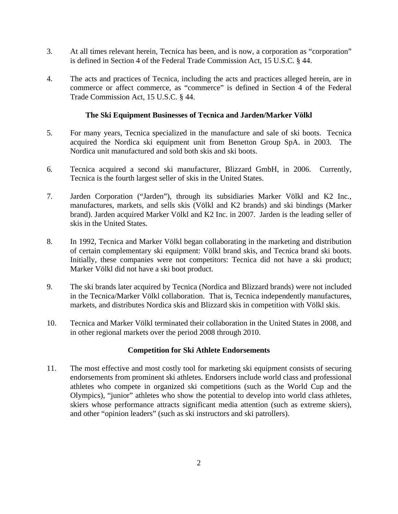- 3. At all times relevant herein, Tecnica has been, and is now, a corporation as "corporation" is defined in Section 4 of the Federal Trade Commission Act, 15 U.S.C. § 44.
- 4. The acts and practices of Tecnica, including the acts and practices alleged herein, are in commerce or affect commerce, as "commerce" is defined in Section 4 of the Federal Trade Commission Act, 15 U.S.C. § 44.

### **The Ski Equipment Businesses of Tecnica and Jarden/Marker Völkl**

- 5. For many years, Tecnica specialized in the manufacture and sale of ski boots. Tecnica acquired the Nordica ski equipment unit from Benetton Group SpA. in 2003. The Nordica unit manufactured and sold both skis and ski boots.
- 6. Tecnica acquired a second ski manufacturer, Blizzard GmbH, in 2006. Currently, Tecnica is the fourth largest seller of skis in the United States.
- 7. Jarden Corporation ("Jarden"), through its subsidiaries Marker Völkl and K2 Inc., manufactures, markets, and sells skis (Völkl and K2 brands) and ski bindings (Marker brand). Jarden acquired Marker Völkl and K2 Inc. in 2007. Jarden is the leading seller of skis in the United States.
- 8. In 1992, Tecnica and Marker Völkl began collaborating in the marketing and distribution of certain complementary ski equipment: Völkl brand skis, and Tecnica brand ski boots. Initially, these companies were not competitors: Tecnica did not have a ski product; Marker Völkl did not have a ski boot product.
- 9. The ski brands later acquired by Tecnica (Nordica and Blizzard brands) were not included in the Tecnica/Marker Völkl collaboration. That is, Tecnica independently manufactures, markets, and distributes Nordica skis and Blizzard skis in competition with Völkl skis.
- 10. Tecnica and Marker Völkl terminated their collaboration in the United States in 2008, and in other regional markets over the period 2008 through 2010.

# **Competition for Ski Athlete Endorsements**

11. The most effective and most costly tool for marketing ski equipment consists of securing endorsements from prominent ski athletes. Endorsers include world class and professional athletes who compete in organized ski competitions (such as the World Cup and the Olympics), "junior" athletes who show the potential to develop into world class athletes, skiers whose performance attracts significant media attention (such as extreme skiers), and other "opinion leaders" (such as ski instructors and ski patrollers).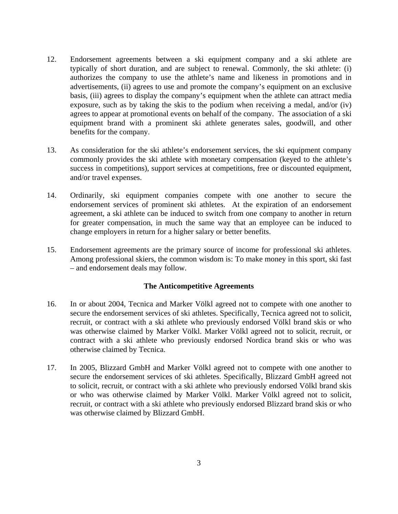- 12. Endorsement agreements between a ski equipment company and a ski athlete are typically of short duration, and are subject to renewal. Commonly, the ski athlete: (i) authorizes the company to use the athlete's name and likeness in promotions and in advertisements, (ii) agrees to use and promote the company's equipment on an exclusive basis, (iii) agrees to display the company's equipment when the athlete can attract media exposure, such as by taking the skis to the podium when receiving a medal, and/or (iv) agrees to appear at promotional events on behalf of the company. The association of a ski equipment brand with a prominent ski athlete generates sales, goodwill, and other benefits for the company.
- 13. As consideration for the ski athlete's endorsement services, the ski equipment company commonly provides the ski athlete with monetary compensation (keyed to the athlete's success in competitions), support services at competitions, free or discounted equipment, and/or travel expenses.
- 14. Ordinarily, ski equipment companies compete with one another to secure the endorsement services of prominent ski athletes. At the expiration of an endorsement agreement, a ski athlete can be induced to switch from one company to another in return for greater compensation, in much the same way that an employee can be induced to change employers in return for a higher salary or better benefits.
- 15. Endorsement agreements are the primary source of income for professional ski athletes. Among professional skiers, the common wisdom is: To make money in this sport, ski fast – and endorsement deals may follow.

# **The Anticompetitive Agreements**

- 16. In or about 2004, Tecnica and Marker Völkl agreed not to compete with one another to secure the endorsement services of ski athletes. Specifically, Tecnica agreed not to solicit, recruit, or contract with a ski athlete who previously endorsed Völkl brand skis or who was otherwise claimed by Marker Völkl. Marker Völkl agreed not to solicit, recruit, or contract with a ski athlete who previously endorsed Nordica brand skis or who was otherwise claimed by Tecnica.
- 17. In 2005, Blizzard GmbH and Marker Völkl agreed not to compete with one another to secure the endorsement services of ski athletes. Specifically, Blizzard GmbH agreed not to solicit, recruit, or contract with a ski athlete who previously endorsed Völkl brand skis or who was otherwise claimed by Marker Völkl. Marker Völkl agreed not to solicit, recruit, or contract with a ski athlete who previously endorsed Blizzard brand skis or who was otherwise claimed by Blizzard GmbH.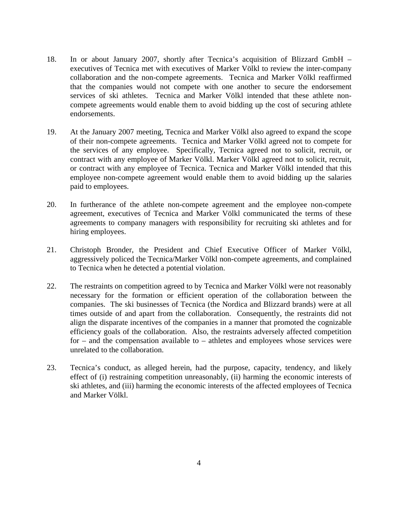- 18. In or about January 2007, shortly after Tecnica's acquisition of Blizzard GmbH executives of Tecnica met with executives of Marker Völkl to review the inter-company collaboration and the non-compete agreements. Tecnica and Marker Völkl reaffirmed that the companies would not compete with one another to secure the endorsement services of ski athletes. Tecnica and Marker Völkl intended that these athlete noncompete agreements would enable them to avoid bidding up the cost of securing athlete endorsements.
- 19. At the January 2007 meeting, Tecnica and Marker Völkl also agreed to expand the scope of their non-compete agreements. Tecnica and Marker Völkl agreed not to compete for the services of any employee. Specifically, Tecnica agreed not to solicit, recruit, or contract with any employee of Marker Völkl. Marker Völkl agreed not to solicit, recruit, or contract with any employee of Tecnica. Tecnica and Marker Völkl intended that this employee non-compete agreement would enable them to avoid bidding up the salaries paid to employees.
- 20. In furtherance of the athlete non-compete agreement and the employee non-compete agreement, executives of Tecnica and Marker Völkl communicated the terms of these agreements to company managers with responsibility for recruiting ski athletes and for hiring employees.
- 21. Christoph Bronder, the President and Chief Executive Officer of Marker Völkl, aggressively policed the Tecnica/Marker Völkl non-compete agreements, and complained to Tecnica when he detected a potential violation.
- 22. The restraints on competition agreed to by Tecnica and Marker Völkl were not reasonably necessary for the formation or efficient operation of the collaboration between the companies. The ski businesses of Tecnica (the Nordica and Blizzard brands) were at all times outside of and apart from the collaboration. Consequently, the restraints did not align the disparate incentives of the companies in a manner that promoted the cognizable efficiency goals of the collaboration. Also, the restraints adversely affected competition for – and the compensation available to – athletes and employees whose services were unrelated to the collaboration.
- 23. Tecnica's conduct, as alleged herein, had the purpose, capacity, tendency, and likely effect of (i) restraining competition unreasonably, (ii) harming the economic interests of ski athletes, and (iii) harming the economic interests of the affected employees of Tecnica and Marker Völkl.